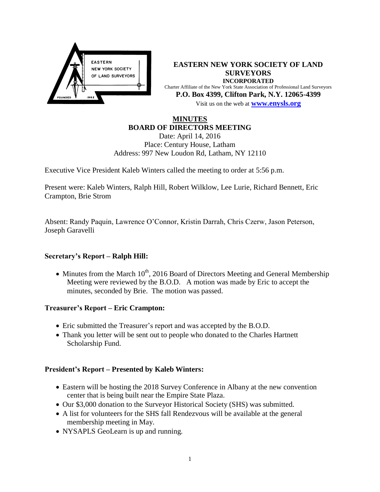

**EASTERN NEW YORK SOCIETY OF LAND SURVEYORS INCORPORATED** Charter Affiliate of the New York State Association of Professional Land Surveyors **P.O. Box 4399, Clifton Park, N.Y. 12065-4399** Visit us on the web at **[www.e](http://www.enysls.org/)nysls.org**

# **MINUTES BOARD OF DIRECTORS MEETING**

Date: April 14, 2016 Place: Century House, Latham Address: 997 New Loudon Rd, Latham, NY 12110

Executive Vice President Kaleb Winters called the meeting to order at 5:56 p.m.

Present were: Kaleb Winters, Ralph Hill, Robert Wilklow, Lee Lurie, Richard Bennett, Eric Crampton, Brie Strom

Absent: Randy Paquin, Lawrence O'Connor, Kristin Darrah, Chris Czerw, Jason Peterson, Joseph Garavelli

## **Secretary's Report – Ralph Hill:**

 $\bullet$  Minutes from the March 10<sup>th</sup>, 2016 Board of Directors Meeting and General Membership Meeting were reviewed by the B.O.D. A motion was made by Eric to accept the minutes, seconded by Brie. The motion was passed.

## **Treasurer's Report – Eric Crampton:**

- Eric submitted the Treasurer's report and was accepted by the B.O.D.
- Thank you letter will be sent out to people who donated to the Charles Hartnett Scholarship Fund.

## **President's Report – Presented by Kaleb Winters:**

- Eastern will be hosting the 2018 Survey Conference in Albany at the new convention center that is being built near the Empire State Plaza.
- Our \$3,000 donation to the Surveyor Historical Society (SHS) was submitted.
- A list for volunteers for the SHS fall Rendezvous will be available at the general membership meeting in May.
- NYSAPLS GeoLearn is up and running.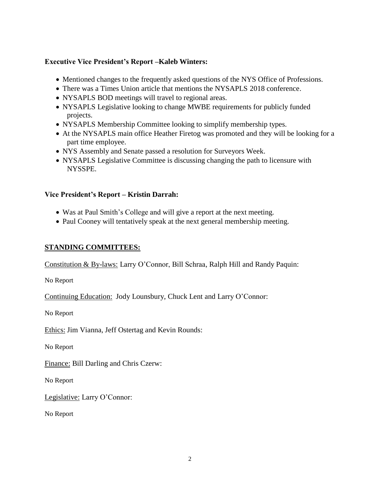## **Executive Vice President's Report –Kaleb Winters:**

- Mentioned changes to the frequently asked questions of the NYS Office of Professions.
- There was a Times Union article that mentions the NYSAPLS 2018 conference.
- NYSAPLS BOD meetings will travel to regional areas.
- NYSAPLS Legislative looking to change MWBE requirements for publicly funded projects.
- NYSAPLS Membership Committee looking to simplify membership types.
- At the NYSAPLS main office Heather Firetog was promoted and they will be looking for a part time employee.
- NYS Assembly and Senate passed a resolution for Surveyors Week.
- NYSAPLS Legislative Committee is discussing changing the path to licensure with NYSSPE.

#### **Vice President's Report – Kristin Darrah:**

- Was at Paul Smith's College and will give a report at the next meeting.
- Paul Cooney will tentatively speak at the next general membership meeting.

### **STANDING COMMITTEES:**

Constitution & By-laws: Larry O'Connor, Bill Schraa, Ralph Hill and Randy Paquin:

No Report

Continuing Education: Jody Lounsbury, Chuck Lent and Larry O'Connor:

No Report

Ethics: Jim Vianna, Jeff Ostertag and Kevin Rounds:

No Report

Finance: Bill Darling and Chris Czerw:

No Report

Legislative: Larry O'Connor:

No Report